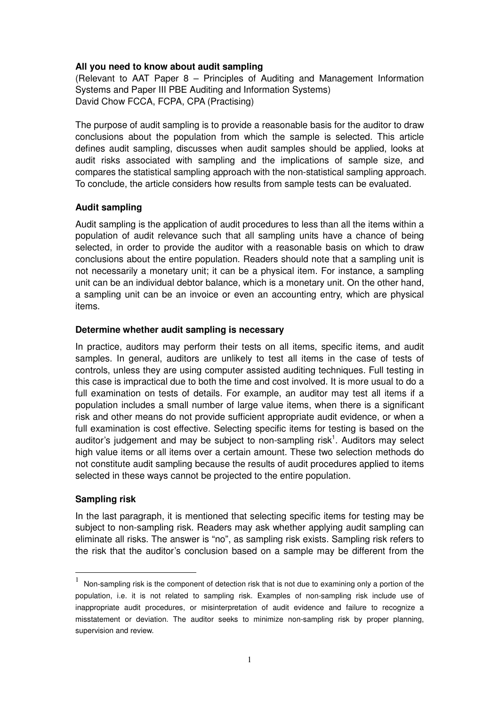#### **All you need to know about audit sampling**

(Relevant to AAT Paper 8 – Principles of Auditing and Management Information Systems and Paper III PBE Auditing and Information Systems) David Chow FCCA, FCPA, CPA (Practising)

The purpose of audit sampling is to provide a reasonable basis for the auditor to draw conclusions about the population from which the sample is selected. This article defines audit sampling, discusses when audit samples should be applied, looks at audit risks associated with sampling and the implications of sample size, and compares the statistical sampling approach with the non-statistical sampling approach. To conclude, the article considers how results from sample tests can be evaluated.

#### **Audit sampling**

Audit sampling is the application of audit procedures to less than all the items within a population of audit relevance such that all sampling units have a chance of being selected, in order to provide the auditor with a reasonable basis on which to draw conclusions about the entire population. Readers should note that a sampling unit is not necessarily a monetary unit; it can be a physical item. For instance, a sampling unit can be an individual debtor balance, which is a monetary unit. On the other hand, a sampling unit can be an invoice or even an accounting entry, which are physical items.

#### **Determine whether audit sampling is necessary**

In practice, auditors may perform their tests on all items, specific items, and audit samples. In general, auditors are unlikely to test all items in the case of tests of controls, unless they are using computer assisted auditing techniques. Full testing in this case is impractical due to both the time and cost involved. It is more usual to do a full examination on tests of details. For example, an auditor may test all items if a population includes a small number of large value items, when there is a significant risk and other means do not provide sufficient appropriate audit evidence, or when a full examination is cost effective. Selecting specific items for testing is based on the auditor's judgement and may be subject to non-sampling risk $<sup>1</sup>$ . Auditors may select</sup> high value items or all items over a certain amount. These two selection methods do not constitute audit sampling because the results of audit procedures applied to items selected in these ways cannot be projected to the entire population.

#### **Sampling risk**

l.

In the last paragraph, it is mentioned that selecting specific items for testing may be subject to non-sampling risk. Readers may ask whether applying audit sampling can eliminate all risks. The answer is "no", as sampling risk exists. Sampling risk refers to the risk that the auditor's conclusion based on a sample may be different from the

<sup>1</sup> Non-sampling risk is the component of detection risk that is not due to examining only a portion of the population, i.e. it is not related to sampling risk. Examples of non-sampling risk include use of inappropriate audit procedures, or misinterpretation of audit evidence and failure to recognize a misstatement or deviation. The auditor seeks to minimize non-sampling risk by proper planning, supervision and review.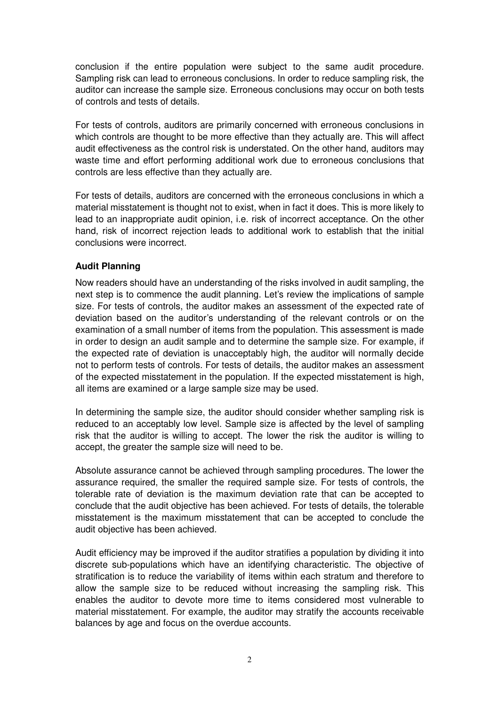conclusion if the entire population were subject to the same audit procedure. Sampling risk can lead to erroneous conclusions. In order to reduce sampling risk, the auditor can increase the sample size. Erroneous conclusions may occur on both tests of controls and tests of details.

For tests of controls, auditors are primarily concerned with erroneous conclusions in which controls are thought to be more effective than they actually are. This will affect audit effectiveness as the control risk is understated. On the other hand, auditors may waste time and effort performing additional work due to erroneous conclusions that controls are less effective than they actually are.

For tests of details, auditors are concerned with the erroneous conclusions in which a material misstatement is thought not to exist, when in fact it does. This is more likely to lead to an inappropriate audit opinion, i.e. risk of incorrect acceptance. On the other hand, risk of incorrect rejection leads to additional work to establish that the initial conclusions were incorrect.

# **Audit Planning**

Now readers should have an understanding of the risks involved in audit sampling, the next step is to commence the audit planning. Let's review the implications of sample size. For tests of controls, the auditor makes an assessment of the expected rate of deviation based on the auditor's understanding of the relevant controls or on the examination of a small number of items from the population. This assessment is made in order to design an audit sample and to determine the sample size. For example, if the expected rate of deviation is unacceptably high, the auditor will normally decide not to perform tests of controls. For tests of details, the auditor makes an assessment of the expected misstatement in the population. If the expected misstatement is high, all items are examined or a large sample size may be used.

In determining the sample size, the auditor should consider whether sampling risk is reduced to an acceptably low level. Sample size is affected by the level of sampling risk that the auditor is willing to accept. The lower the risk the auditor is willing to accept, the greater the sample size will need to be.

Absolute assurance cannot be achieved through sampling procedures. The lower the assurance required, the smaller the required sample size. For tests of controls, the tolerable rate of deviation is the maximum deviation rate that can be accepted to conclude that the audit objective has been achieved. For tests of details, the tolerable misstatement is the maximum misstatement that can be accepted to conclude the audit objective has been achieved.

Audit efficiency may be improved if the auditor stratifies a population by dividing it into discrete sub-populations which have an identifying characteristic. The objective of stratification is to reduce the variability of items within each stratum and therefore to allow the sample size to be reduced without increasing the sampling risk. This enables the auditor to devote more time to items considered most vulnerable to material misstatement. For example, the auditor may stratify the accounts receivable balances by age and focus on the overdue accounts.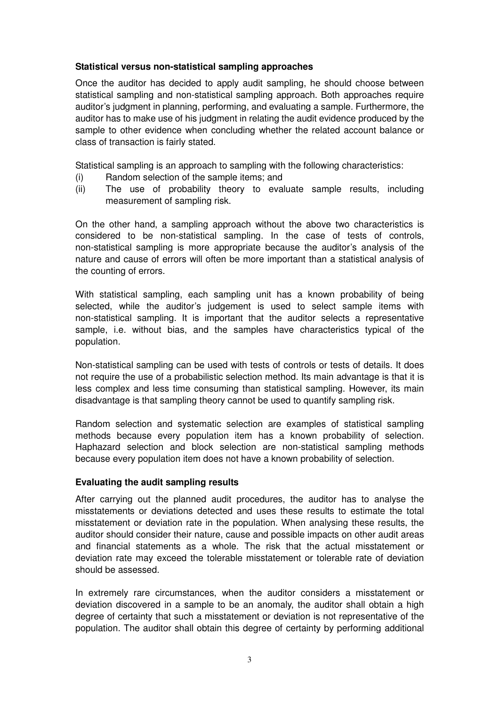### **Statistical versus non-statistical sampling approaches**

Once the auditor has decided to apply audit sampling, he should choose between statistical sampling and non-statistical sampling approach. Both approaches require auditor's judgment in planning, performing, and evaluating a sample. Furthermore, the auditor has to make use of his judgment in relating the audit evidence produced by the sample to other evidence when concluding whether the related account balance or class of transaction is fairly stated.

Statistical sampling is an approach to sampling with the following characteristics:

- (i) Random selection of the sample items; and
- (ii) The use of probability theory to evaluate sample results, including measurement of sampling risk.

On the other hand, a sampling approach without the above two characteristics is considered to be non-statistical sampling. In the case of tests of controls, non-statistical sampling is more appropriate because the auditor's analysis of the nature and cause of errors will often be more important than a statistical analysis of the counting of errors.

With statistical sampling, each sampling unit has a known probability of being selected, while the auditor's judgement is used to select sample items with non-statistical sampling. It is important that the auditor selects a representative sample, i.e. without bias, and the samples have characteristics typical of the population.

Non-statistical sampling can be used with tests of controls or tests of details. It does not require the use of a probabilistic selection method. Its main advantage is that it is less complex and less time consuming than statistical sampling. However, its main disadvantage is that sampling theory cannot be used to quantify sampling risk.

Random selection and systematic selection are examples of statistical sampling methods because every population item has a known probability of selection. Haphazard selection and block selection are non-statistical sampling methods because every population item does not have a known probability of selection.

# **Evaluating the audit sampling results**

After carrying out the planned audit procedures, the auditor has to analyse the misstatements or deviations detected and uses these results to estimate the total misstatement or deviation rate in the population. When analysing these results, the auditor should consider their nature, cause and possible impacts on other audit areas and financial statements as a whole. The risk that the actual misstatement or deviation rate may exceed the tolerable misstatement or tolerable rate of deviation should be assessed.

In extremely rare circumstances, when the auditor considers a misstatement or deviation discovered in a sample to be an anomaly, the auditor shall obtain a high degree of certainty that such a misstatement or deviation is not representative of the population. The auditor shall obtain this degree of certainty by performing additional